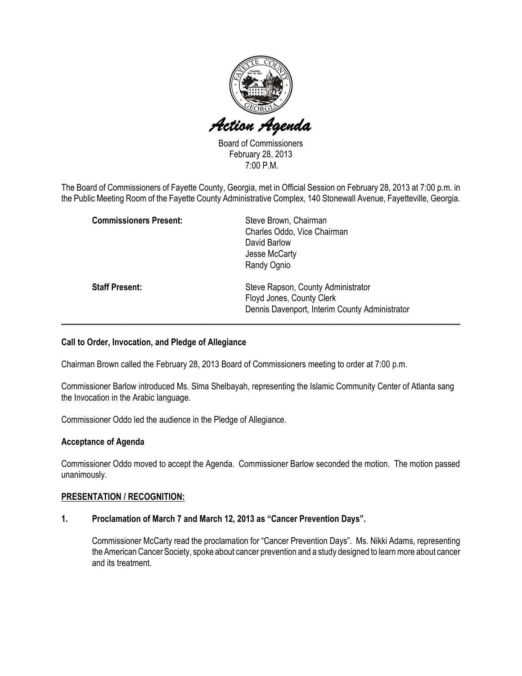

Board of Commissioners February 28, 2013 7:00 P.M.

The Board of Commissioners of Fayette County, Georgia, met in Official Session on February 28, 2013 at 7:00 p.m. in the Public Meeting Room of the Fayette County Administrative Complex, 140 Stonewall Avenue, Fayetteville, Georgia.

| <b>Commissioners Present:</b> | Steve Brown, Chairman                          |
|-------------------------------|------------------------------------------------|
|                               | Charles Oddo, Vice Chairman                    |
|                               | David Barlow                                   |
|                               | Jesse McCarty                                  |
|                               | Randy Ognio                                    |
| <b>Staff Present:</b>         | Steve Rapson, County Administrator             |
|                               | Floyd Jones, County Clerk                      |
|                               | Dennis Davenport, Interim County Administrator |
|                               |                                                |

#### Call to Order, Invocation, and Pledge of Allegiance

Chairman Brown called the February 28, 2013 Board of Commissioners meeting to order at 7:00 p.m.

Commissioner Barlow introduced Ms. Slma Shelbayah, representing the Islamic Community Center of Atlanta sang the Invocation in the Arabic language.

Commissioner Oddo led the audience in the Pledge of Allegiance.

#### Acceptance of Agenda

Commissioner Oddo moved to accept the Agenda. Commissioner Barlow seconded the motion. The motion passed unanimously.

#### PRESENTATION / RECOGNITION:

#### 1. Proclamation of March 7 and March 12, 2013 as "Cancer Prevention Days".

Commissioner McCarty read the proclamation for "Cancer Prevention Days". Ms. Nikki Adams, representing the American Cancer Society, spoke about cancer prevention and a study designed to learn more about cancer and its treatment.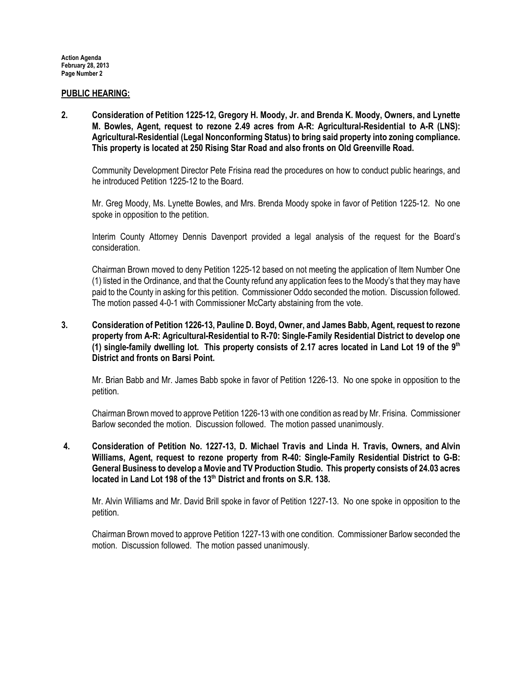#### PUBLIC HEARING:

2. Consideration of Petition 1225-12, Gregory H. Moody, Jr. and Brenda K. Moody, Owners, and Lynette M. Bowles, Agent, request to rezone 2.49 acres from A-R: Agricultural-Residential to A-R (LNS): Agricultural-Residential (Legal Nonconforming Status) to bring said property into zoning compliance. This property is located at 250 Rising Star Road and also fronts on Old Greenville Road.

Community Development Director Pete Frisina read the procedures on how to conduct public hearings, and he introduced Petition 1225-12 to the Board.

Mr. Greg Moody, Ms. Lynette Bowles, and Mrs. Brenda Moody spoke in favor of Petition 1225-12. No one spoke in opposition to the petition.

Interim County Attorney Dennis Davenport provided a legal analysis of the request for the Board's consideration.

Chairman Brown moved to deny Petition 1225-12 based on not meeting the application of Item Number One (1) listed in the Ordinance, and that the County refund any application fees to the Moody's that they may have paid to the County in asking for this petition. Commissioner Oddo seconded the motion. Discussion followed. The motion passed 4-0-1 with Commissioner McCarty abstaining from the vote.

### 3. Consideration of Petition 1226-13, Pauline D. Boyd, Owner, and James Babb, Agent, request to rezone property from A-R: Agricultural-Residential to R-70: Single-Family Residential District to develop one (1) single-family dwelling lot. This property consists of 2.17 acres located in Land Lot 19 of the  $9<sup>th</sup>$ District and fronts on Barsi Point.

Mr. Brian Babb and Mr. James Babb spoke in favor of Petition 1226-13. No one spoke in opposition to the petition.

Chairman Brown moved to approve Petition 1226-13 with one condition as read by Mr. Frisina. Commissioner Barlow seconded the motion. Discussion followed. The motion passed unanimously.

# 4. Consideration of Petition No. 1227-13, D. Michael Travis and Linda H. Travis, Owners, and Alvin Williams, Agent, request to rezone property from R-40: Single-Family Residential District to G-B: General Business to develop a Movie and TV Production Studio. This property consists of 24.03 acres located in Land Lot 198 of the 13<sup>th</sup> District and fronts on S.R. 138.

Mr. Alvin Williams and Mr. David Brill spoke in favor of Petition 1227-13. No one spoke in opposition to the petition.

Chairman Brown moved to approve Petition 1227-13 with one condition. Commissioner Barlow seconded the motion. Discussion followed. The motion passed unanimously.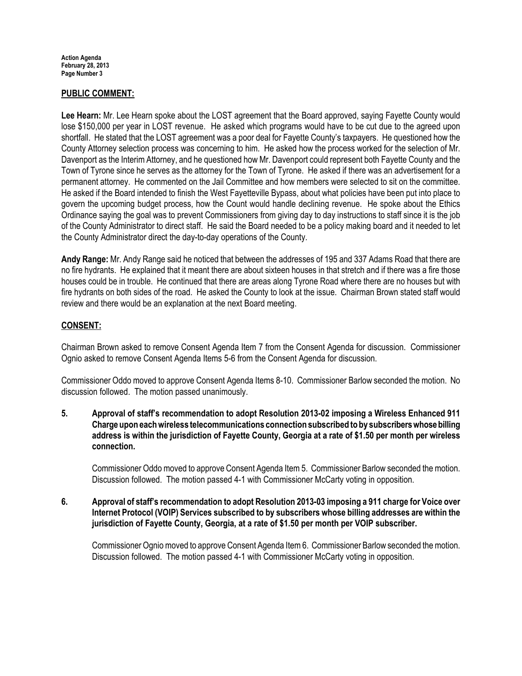### PUBLIC COMMENT:

Lee Hearn: Mr. Lee Hearn spoke about the LOST agreement that the Board approved, saying Fayette County would lose \$150,000 per year in LOST revenue. He asked which programs would have to be cut due to the agreed upon shortfall. He stated that the LOST agreement was a poor deal for Fayette County's taxpayers. He questioned how the County Attorney selection process was concerning to him. He asked how the process worked for the selection of Mr. Davenport as the Interim Attorney, and he questioned how Mr. Davenport could represent both Fayette County and the Town of Tyrone since he serves as the attorney for the Town of Tyrone. He asked if there was an advertisement for a permanent attorney. He commented on the Jail Committee and how members were selected to sit on the committee. He asked if the Board intended to finish the West Fayetteville Bypass, about what policies have been put into place to govern the upcoming budget process, how the Count would handle declining revenue. He spoke about the Ethics Ordinance saying the goal was to prevent Commissioners from giving day to day instructions to staff since it is the job of the County Administrator to direct staff. He said the Board needed to be a policy making board and it needed to let the County Administrator direct the day-to-day operations of the County.

Andy Range: Mr. Andy Range said he noticed that between the addresses of 195 and 337 Adams Road that there are no fire hydrants. He explained that it meant there are about sixteen houses in that stretch and if there was a fire those houses could be in trouble. He continued that there are areas along Tyrone Road where there are no houses but with fire hydrants on both sides of the road. He asked the County to look at the issue. Chairman Brown stated staff would review and there would be an explanation at the next Board meeting.

# CONSENT:

Chairman Brown asked to remove Consent Agenda Item 7 from the Consent Agenda for discussion. Commissioner Ognio asked to remove Consent Agenda Items 5-6 from the Consent Agenda for discussion.

Commissioner Oddo moved to approve Consent Agenda Items 8-10. Commissioner Barlow seconded the motion. No discussion followed. The motion passed unanimously.

5. Approval of staff's recommendation to adopt Resolution 2013-02 imposing a Wireless Enhanced 911 Charge upon each wireless telecommunications connection subscribed to by subscribers whose billing address is within the jurisdiction of Fayette County, Georgia at a rate of \$1.50 per month per wireless connection.

Commissioner Oddo moved to approve Consent Agenda Item 5. Commissioner Barlow seconded the motion. Discussion followed. The motion passed 4-1 with Commissioner McCarty voting in opposition.

6. Approval of staff's recommendation to adopt Resolution 2013-03 imposing a 911 charge for Voice over Internet Protocol (VOIP) Services subscribed to by subscribers whose billing addresses are within the jurisdiction of Fayette County, Georgia, at a rate of \$1.50 per month per VOIP subscriber.

Commissioner Ognio moved to approve Consent Agenda Item 6. Commissioner Barlow seconded the motion. Discussion followed. The motion passed 4-1 with Commissioner McCarty voting in opposition.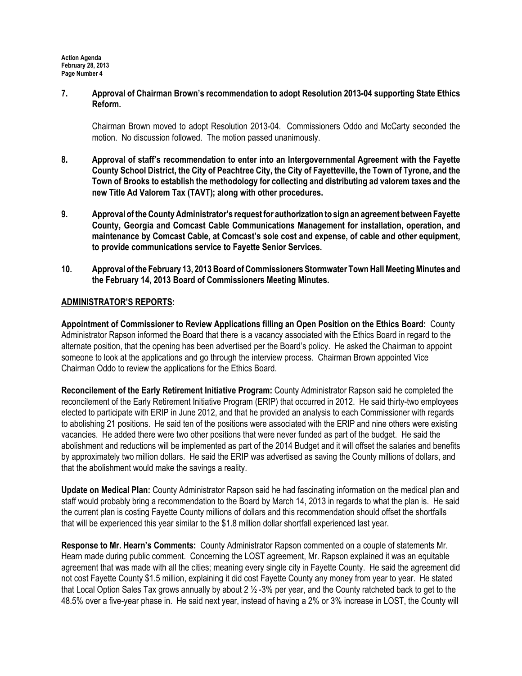7. Approval of Chairman Brown's recommendation to adopt Resolution 2013-04 supporting State Ethics Reform.

Chairman Brown moved to adopt Resolution 2013-04. Commissioners Oddo and McCarty seconded the motion. No discussion followed. The motion passed unanimously.

- 8. Approval of staff's recommendation to enter into an Intergovernmental Agreement with the Fayette County School District, the City of Peachtree City, the City of Fayetteville, the Town of Tyrone, and the Town of Brooks to establish the methodology for collecting and distributing ad valorem taxes and the new Title Ad Valorem Tax (TAVT); along with other procedures.
- 9. Approval of the County Administrator's request for authorization to sign an agreement between Fayette County, Georgia and Comcast Cable Communications Management for installation, operation, and maintenance by Comcast Cable, at Comcast's sole cost and expense, of cable and other equipment, to provide communications service to Fayette Senior Services.
- 10. Approval of the February 13, 2013 Board of Commissioners Stormwater Town Hall Meeting Minutes and the February 14, 2013 Board of Commissioners Meeting Minutes.

# ADMINISTRATOR'S REPORTS:

Appointment of Commissioner to Review Applications filling an Open Position on the Ethics Board: County Administrator Rapson informed the Board that there is a vacancy associated with the Ethics Board in regard to the alternate position, that the opening has been advertised per the Board's policy. He asked the Chairman to appoint someone to look at the applications and go through the interview process. Chairman Brown appointed Vice Chairman Oddo to review the applications for the Ethics Board.

Reconcilement of the Early Retirement Initiative Program: County Administrator Rapson said he completed the reconcilement of the Early Retirement Initiative Program (ERIP) that occurred in 2012. He said thirty-two employees elected to participate with ERIP in June 2012, and that he provided an analysis to each Commissioner with regards to abolishing 21 positions. He said ten of the positions were associated with the ERIP and nine others were existing vacancies. He added there were two other positions that were never funded as part of the budget. He said the abolishment and reductions will be implemented as part of the 2014 Budget and it will offset the salaries and benefits by approximately two million dollars. He said the ERIP was advertised as saving the County millions of dollars, and that the abolishment would make the savings a reality.

Update on Medical Plan: County Administrator Rapson said he had fascinating information on the medical plan and staff would probably bring a recommendation to the Board by March 14, 2013 in regards to what the plan is. He said the current plan is costing Fayette County millions of dollars and this recommendation should offset the shortfalls that will be experienced this year similar to the \$1.8 million dollar shortfall experienced last year.

Response to Mr. Hearn's Comments: County Administrator Rapson commented on a couple of statements Mr. Hearn made during public comment. Concerning the LOST agreement, Mr. Rapson explained it was an equitable agreement that was made with all the cities; meaning every single city in Fayette County. He said the agreement did not cost Fayette County \$1.5 million, explaining it did cost Fayette County any money from year to year. He stated that Local Option Sales Tax grows annually by about 2  $\frac{1}{2}$  -3% per year, and the County ratcheted back to get to the 48.5% over a five-year phase in. He said next year, instead of having a 2% or 3% increase in LOST, the County will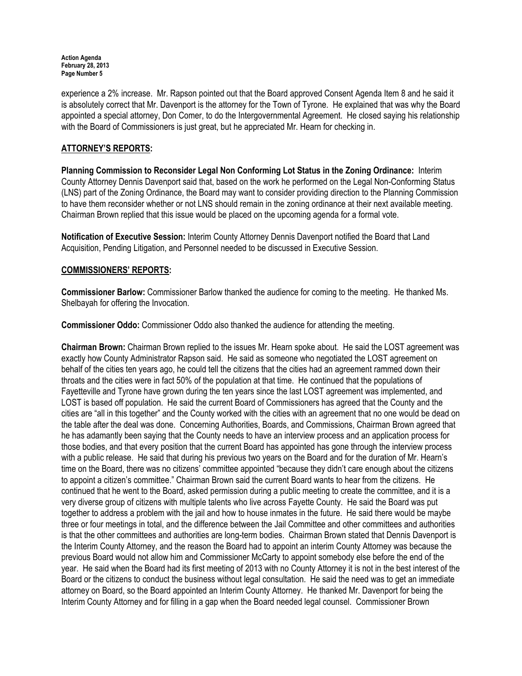experience a 2% increase. Mr. Rapson pointed out that the Board approved Consent Agenda Item 8 and he said it is absolutely correct that Mr. Davenport is the attorney for the Town of Tyrone. He explained that was why the Board appointed a special attorney, Don Comer, to do the Intergovernmental Agreement. He closed saying his relationship with the Board of Commissioners is just great, but he appreciated Mr. Hearn for checking in.

# ATTORNEY'S REPORTS:

Planning Commission to Reconsider Legal Non Conforming Lot Status in the Zoning Ordinance: Interim County Attorney Dennis Davenport said that, based on the work he performed on the Legal Non-Conforming Status (LNS) part of the Zoning Ordinance, the Board may want to consider providing direction to the Planning Commission to have them reconsider whether or not LNS should remain in the zoning ordinance at their next available meeting. Chairman Brown replied that this issue would be placed on the upcoming agenda for a formal vote.

Notification of Executive Session: Interim County Attorney Dennis Davenport notified the Board that Land Acquisition, Pending Litigation, and Personnel needed to be discussed in Executive Session.

#### COMMISSIONERS' REPORTS:

Commissioner Barlow: Commissioner Barlow thanked the audience for coming to the meeting. He thanked Ms. Shelbayah for offering the Invocation.

Commissioner Oddo: Commissioner Oddo also thanked the audience for attending the meeting.

Chairman Brown: Chairman Brown replied to the issues Mr. Hearn spoke about. He said the LOST agreement was exactly how County Administrator Rapson said. He said as someone who negotiated the LOST agreement on behalf of the cities ten years ago, he could tell the citizens that the cities had an agreement rammed down their throats and the cities were in fact 50% of the population at that time. He continued that the populations of Fayetteville and Tyrone have grown during the ten years since the last LOST agreement was implemented, and LOST is based off population. He said the current Board of Commissioners has agreed that the County and the cities are "all in this together" and the County worked with the cities with an agreement that no one would be dead on the table after the deal was done. Concerning Authorities, Boards, and Commissions, Chairman Brown agreed that he has adamantly been saying that the County needs to have an interview process and an application process for those bodies, and that every position that the current Board has appointed has gone through the interview process with a public release. He said that during his previous two years on the Board and for the duration of Mr. Hearn's time on the Board, there was no citizens' committee appointed "because they didn't care enough about the citizens to appoint a citizen's committee." Chairman Brown said the current Board wants to hear from the citizens. He continued that he went to the Board, asked permission during a public meeting to create the committee, and it is a very diverse group of citizens with multiple talents who live across Fayette County. He said the Board was put together to address a problem with the jail and how to house inmates in the future. He said there would be maybe three or four meetings in total, and the difference between the Jail Committee and other committees and authorities is that the other committees and authorities are long-term bodies. Chairman Brown stated that Dennis Davenport is the Interim County Attorney, and the reason the Board had to appoint an interim County Attorney was because the previous Board would not allow him and Commissioner McCarty to appoint somebody else before the end of the year. He said when the Board had its first meeting of 2013 with no County Attorney it is not in the best interest of the Board or the citizens to conduct the business without legal consultation. He said the need was to get an immediate attorney on Board, so the Board appointed an Interim County Attorney. He thanked Mr. Davenport for being the Interim County Attorney and for filling in a gap when the Board needed legal counsel. Commissioner Brown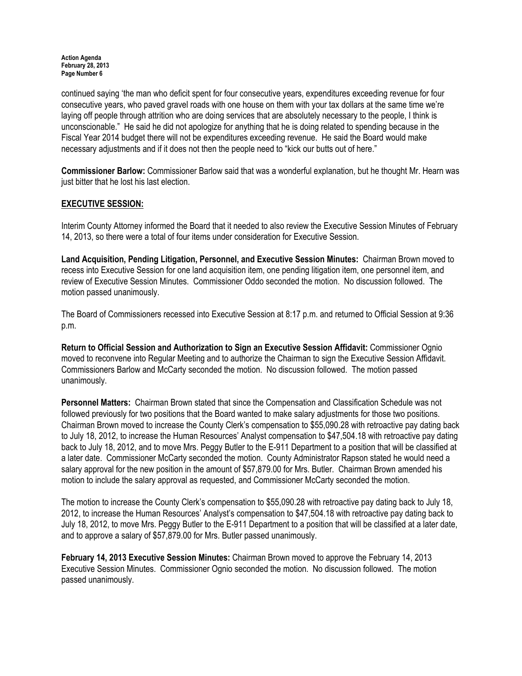continued saying 'the man who deficit spent for four consecutive years, expenditures exceeding revenue for four consecutive years, who paved gravel roads with one house on them with your tax dollars at the same time we're laying off people through attrition who are doing services that are absolutely necessary to the people, I think is unconscionable." He said he did not apologize for anything that he is doing related to spending because in the Fiscal Year 2014 budget there will not be expenditures exceeding revenue. He said the Board would make necessary adjustments and if it does not then the people need to "kick our butts out of here."

Commissioner Barlow: Commissioner Barlow said that was a wonderful explanation, but he thought Mr. Hearn was just bitter that he lost his last election.

# EXECUTIVE SESSION:

Interim County Attorney informed the Board that it needed to also review the Executive Session Minutes of February 14, 2013, so there were a total of four items under consideration for Executive Session.

Land Acquisition, Pending Litigation, Personnel, and Executive Session Minutes: Chairman Brown moved to recess into Executive Session for one land acquisition item, one pending litigation item, one personnel item, and review of Executive Session Minutes. Commissioner Oddo seconded the motion. No discussion followed. The motion passed unanimously.

The Board of Commissioners recessed into Executive Session at 8:17 p.m. and returned to Official Session at 9:36 p.m.

Return to Official Session and Authorization to Sign an Executive Session Affidavit: Commissioner Ognio moved to reconvene into Regular Meeting and to authorize the Chairman to sign the Executive Session Affidavit. Commissioners Barlow and McCarty seconded the motion. No discussion followed. The motion passed unanimously.

Personnel Matters: Chairman Brown stated that since the Compensation and Classification Schedule was not followed previously for two positions that the Board wanted to make salary adjustments for those two positions. Chairman Brown moved to increase the County Clerk's compensation to \$55,090.28 with retroactive pay dating back to July 18, 2012, to increase the Human Resources' Analyst compensation to \$47,504.18 with retroactive pay dating back to July 18, 2012, and to move Mrs. Peggy Butler to the E-911 Department to a position that will be classified at a later date. Commissioner McCarty seconded the motion. County Administrator Rapson stated he would need a salary approval for the new position in the amount of \$57,879.00 for Mrs. Butler. Chairman Brown amended his motion to include the salary approval as requested, and Commissioner McCarty seconded the motion.

The motion to increase the County Clerk's compensation to \$55,090.28 with retroactive pay dating back to July 18, 2012, to increase the Human Resources' Analyst's compensation to \$47,504.18 with retroactive pay dating back to July 18, 2012, to move Mrs. Peggy Butler to the E-911 Department to a position that will be classified at a later date, and to approve a salary of \$57,879.00 for Mrs. Butler passed unanimously.

February 14, 2013 Executive Session Minutes: Chairman Brown moved to approve the February 14, 2013 Executive Session Minutes. Commissioner Ognio seconded the motion. No discussion followed. The motion passed unanimously.